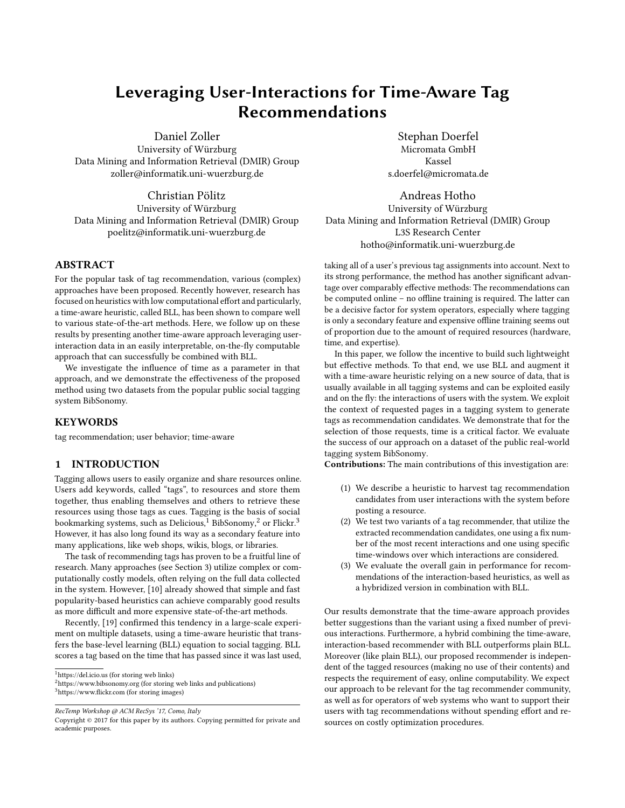# Leveraging User-Interactions for Time-Aware Tag Recommendations

Daniel Zoller

University of Würzburg Data Mining and Information Retrieval (DMIR) Group zoller@informatik.uni-wuerzburg.de

Christian Pölitz University of Würzburg Data Mining and Information Retrieval (DMIR) Group poelitz@informatik.uni-wuerzburg.de

## ABSTRACT

For the popular task of tag recommendation, various (complex) approaches have been proposed. Recently however, research has focused on heuristics with low computational effort and particularly, a time-aware heuristic, called BLL, has been shown to compare well to various state-of-the-art methods. Here, we follow up on these results by presenting another time-aware approach leveraging userinteraction data in an easily interpretable, on-the-fly computable approach that can successfully be combined with BLL.

We investigate the influence of time as a parameter in that approach, and we demonstrate the effectiveness of the proposed method using two datasets from the popular public social tagging system BibSonomy.

## KEYWORDS

tag recommendation; user behavior; time-aware

# 1 INTRODUCTION

Tagging allows users to easily organize and share resources online. Users add keywords, called "tags", to resources and store them together, thus enabling themselves and others to retrieve these resources using those tags as cues. Tagging is the basis of social bookmarking systems, such as Delicious, $1$  BibSonomy, $2$  or Flickr.<sup>[3](#page-0-2)</sup> However, it has also long found its way as a secondary feature into many applications, like web shops, wikis, blogs, or libraries.

The task of recommending tags has proven to be a fruitful line of research. Many approaches (see Section [3\)](#page-1-0) utilize complex or computationally costly models, often relying on the full data collected in the system. However, [\[10\]](#page-6-0) already showed that simple and fast popularity-based heuristics can achieve comparably good results as more difficult and more expensive state-of-the-art methods.

Recently, [\[19\]](#page-6-1) confirmed this tendency in a large-scale experiment on multiple datasets, using a time-aware heuristic that transfers the base-level learning (BLL) equation to social tagging. BLL scores a tag based on the time that has passed since it was last used,

<span id="page-0-0"></span><sup>1</sup><https://del.icio.us> (for storing web links)

RecTemp Workshop @ ACM RecSys '17, Como, Italy

Stephan Doerfel Micromata GmbH Kassel s.doerfel@micromata.de

Andreas Hotho University of Würzburg Data Mining and Information Retrieval (DMIR) Group L3S Research Center hotho@informatik.uni-wuerzburg.de

taking all of a user's previous tag assignments into account. Next to its strong performance, the method has another significant advantage over comparably effective methods: The recommendations can be computed online - no offline training is required. The latter can be a decisive factor for system operators, especially where tagging is only a secondary feature and expensive offline training seems out of proportion due to the amount of required resources (hardware, time, and expertise).

In this paper, we follow the incentive to build such lightweight but effective methods. To that end, we use BLL and augment it with a time-aware heuristic relying on a new source of data, that is usually available in all tagging systems and can be exploited easily and on the fly: the interactions of users with the system. We exploit the context of requested pages in a tagging system to generate tags as recommendation candidates. We demonstrate that for the selection of those requests, time is a critical factor. We evaluate the success of our approach on a dataset of the public real-world tagging system BibSonomy.

Contributions: The main contributions of this investigation are:

- (1) We describe a heuristic to harvest tag recommendation candidates from user interactions with the system before posting a resource.
- (2) We test two variants of a tag recommender, that utilize the extracted recommendation candidates, one using a fix number of the most recent interactions and one using specific time-windows over which interactions are considered.
- (3) We evaluate the overall gain in performance for recommendations of the interaction-based heuristics, as well as a hybridized version in combination with BLL.

Our results demonstrate that the time-aware approach provides better suggestions than the variant using a fixed number of previous interactions. Furthermore, a hybrid combining the time-aware, interaction-based recommender with BLL outperforms plain BLL. Moreover (like plain BLL), our proposed recommender is independent of the tagged resources (making no use of their contents) and respects the requirement of easy, online computability. We expect our approach to be relevant for the tag recommender community, as well as for operators of web systems who want to support their users with tag recommendations without spending effort and resources on costly optimization procedures.

<span id="page-0-2"></span><span id="page-0-1"></span><sup>2</sup><https://www.bibsonomy.org> (for storing web links and publications)  $3$ https://www.flickr.com (for storing images)

Copyright © 2017 for this paper by its authors. Copying permitted for private and academic purposes.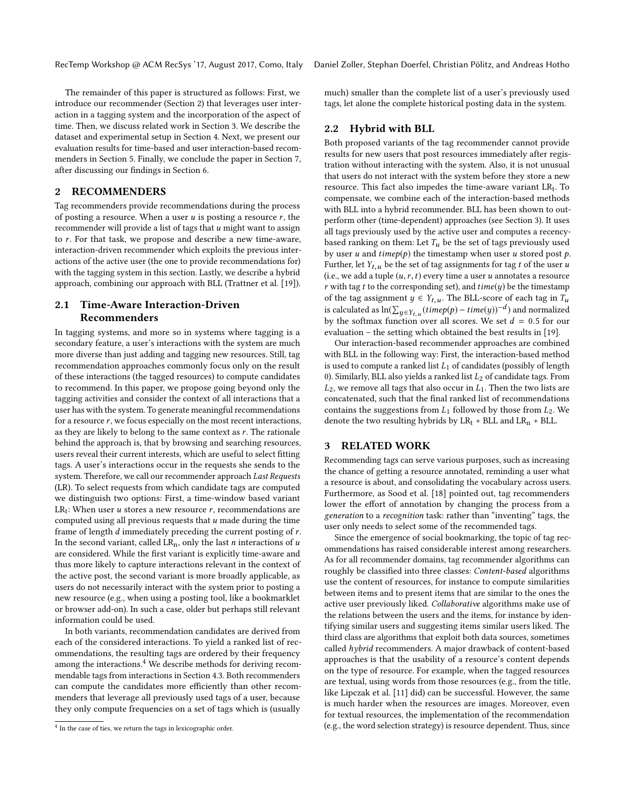The remainder of this paper is structured as follows: First, we introduce our recommender (Section [2\)](#page-1-1) that leverages user interaction in a tagging system and the incorporation of the aspect of time. Then, we discuss related work in Section [3.](#page-1-0) We describe the dataset and experimental setup in Section [4.](#page-2-0) Next, we present our evaluation results for time-based and user interaction-based recommenders in Section [5.](#page-4-0) Finally, we conclude the paper in Section [7,](#page-5-0) after discussing our findings in Section [6.](#page-5-1)

# <span id="page-1-1"></span>2 RECOMMENDERS

Tag recommenders provide recommendations during the process of posting a resource. When a user  $u$  is posting a resource  $r$ , the recommender will provide a list of tags that  $u$  might want to assign to r. For that task, we propose and describe a new time-aware, interaction-driven recommender which exploits the previous interactions of the active user (the one to provide recommendations for) with the tagging system in this section. Lastly, we describe a hybrid approach, combining our approach with BLL (Trattner et al. [\[19\]](#page-6-1)).

# <span id="page-1-4"></span>2.1 Time-Aware Interaction-Driven Recommenders

In tagging systems, and more so in systems where tagging is a secondary feature, a user's interactions with the system are much more diverse than just adding and tagging new resources. Still, tag recommendation approaches commonly focus only on the result of these interactions (the tagged resources) to compute candidates to recommend. In this paper, we propose going beyond only the tagging activities and consider the context of all interactions that a user has with the system. To generate meaningful recommendations for a resource  $r$ , we focus especially on the most recent interactions, as they are likely to belong to the same context as  $r$ . The rationale behind the approach is, that by browsing and searching resources, users reveal their current interests, which are useful to select fitting tags. A user's interactions occur in the requests she sends to the system. Therefore, we call our recommender approach Last Requests (LR). To select requests from which candidate tags are computed we distinguish two options: First, a time-window based variant  $LR_t$ : When user u stores a new resource r, recommendations are<br>computed using all previous requests that u made during the time computed using all previous requests that  $u$  made during the time frame of length d immediately preceding the current posting of r. In the second variant, called  $LR_n$ , only the last *n* interactions of *u* are considered. While the first variant is explicitly time-aware and thus more likely to capture interactions relevant in the context of the active post, the second variant is more broadly applicable, as users do not necessarily interact with the system prior to posting a new resource (e.g., when using a posting tool, like a bookmarklet or browser add-on). In such a case, older but perhaps still relevant information could be used.

In both variants, recommendation candidates are derived from each of the considered interactions. To yield a ranked list of recommendations, the resulting tags are ordered by their frequency among the interactions.<sup>[4](#page-1-2)</sup> We describe methods for deriving recommendable tags from interactions in Section [4.3.](#page-3-0) Both recommenders can compute the candidates more efficiently than other recommenders that leverage all previously used tags of a user, because they only compute frequencies on a set of tags which is (usually

much) smaller than the complete list of a user's previously used tags, let alone the complete historical posting data in the system.

## <span id="page-1-3"></span>2.2 Hybrid with BLL

Both proposed variants of the tag recommender cannot provide results for new users that post resources immediately after registration without interacting with the system. Also, it is not unusual that users do not interact with the system before they store a new resource. This fact also impedes the time-aware variant  $LR_t$ . To compensate, we combine each of the interaction-based methods with BLL into a hybrid recommender. BLL has been shown to outperform other (time-dependent) approaches (see Section [3\)](#page-1-0). It uses all tags previously used by the active user and computes a recencybased ranking on them: Let  $T_u$  be the set of tags previously used by user u and  $timep(p)$  the timestamp when user u stored post p. Further, let  $Y_{t,u}$  be the set of tag assignments for tag t of the user u (i.e., we add a tuple  $(u, r, t)$  every time a user u annotates a resource r with tag t to the corresponding set), and  $time(y)$  be the timestamp of the tag assignment  $y \in Y_{t,u}$ . The BLL-score of each tag in  $T_u$ is calculated as  $\ln(\sum_{y \in Y_{t,u}}(timep(p) - time(y))^{-d})$  and normalized<br>by the softmax function over all scores. We set  $d = 0.5$  for our by the softmax function over all scores. We set  $d = 0.5$  for our evaluation – the setting which obtained the best results in [\[19\]](#page-6-1).

Our interaction-based recommender approaches are combined with BLL in the following way: First, the interaction-based method is used to compute a ranked list  $L_1$  of candidates (possibly of length 0). Similarly, BLL also yields a ranked list  $L_2$  of candidate tags. From  $L_2$ , we remove all tags that also occur in  $L_1$ . Then the two lists are concatenated, such that the final ranked list of recommendations contains the suggestions from  $L_1$  followed by those from  $L_2$ . We denote the two resulting hybrids by  $LR_t$  + BLL and  $LR_n$  + BLL.

## <span id="page-1-0"></span>3 RELATED WORK

Recommending tags can serve various purposes, such as increasing the chance of getting a resource annotated, reminding a user what a resource is about, and consolidating the vocabulary across users. Furthermore, as Sood et al. [\[18\]](#page-6-2) pointed out, tag recommenders lower the effort of annotation by changing the process from a generation to a recognition task: rather than "inventing" tags, the user only needs to select some of the recommended tags.

Since the emergence of social bookmarking, the topic of tag recommendations has raised considerable interest among researchers. As for all recommender domains, tag recommender algorithms can roughly be classified into three classes: Content-based algorithms use the content of resources, for instance to compute similarities between items and to present items that are similar to the ones the active user previously liked. Collaborative algorithms make use of the relations between the users and the items, for instance by identifying similar users and suggesting items similar users liked. The third class are algorithms that exploit both data sources, sometimes called hybrid recommenders. A major drawback of content-based approaches is that the usability of a resource's content depends on the type of resource. For example, when the tagged resources are textual, using words from those resources (e.g., from the title, like Lipczak et al. [\[11\]](#page-6-3) did) can be successful. However, the same is much harder when the resources are images. Moreover, even for textual resources, the implementation of the recommendation (e.g., the word selection strategy) is resource dependent. Thus, since

<span id="page-1-2"></span><sup>&</sup>lt;sup>4</sup> In the case of ties, we return the tags in lexicographic order.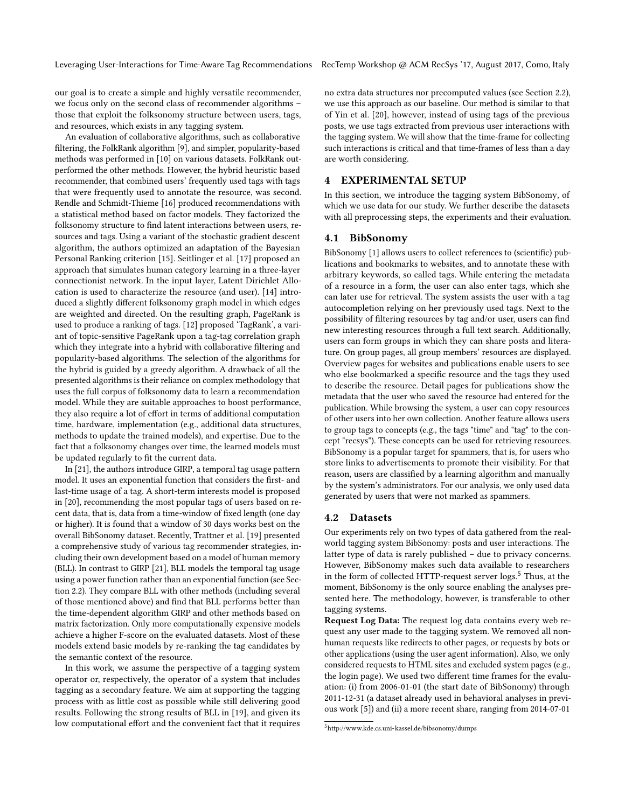Leveraging User-Interactions for Time-Aware Tag Recommendations RecTemp Workshop @ ACM RecSys '17, August 2017, Como, Italy

our goal is to create a simple and highly versatile recommender, we focus only on the second class of recommender algorithms – those that exploit the folksonomy structure between users, tags, and resources, which exists in any tagging system.

An evaluation of collaborative algorithms, such as collaborative filtering, the FolkRank algorithm [\[9\]](#page-6-4), and simpler, popularity-based methods was performed in [\[10\]](#page-6-0) on various datasets. FolkRank outperformed the other methods. However, the hybrid heuristic based recommender, that combined users' frequently used tags with tags that were frequently used to annotate the resource, was second. Rendle and Schmidt-Thieme [\[16\]](#page-6-5) produced recommendations with a statistical method based on factor models. They factorized the folksonomy structure to find latent interactions between users, resources and tags. Using a variant of the stochastic gradient descent algorithm, the authors optimized an adaptation of the Bayesian Personal Ranking criterion [\[15\]](#page-6-6). Seitlinger et al. [\[17\]](#page-6-7) proposed an approach that simulates human category learning in a three-layer connectionist network. In the input layer, Latent Dirichlet Allocation is used to characterize the resource (and user). [\[14\]](#page-6-8) introduced a slightly different folksonomy graph model in which edges are weighted and directed. On the resulting graph, PageRank is used to produce a ranking of tags. [\[12\]](#page-6-9) proposed 'TagRank', a variant of topic-sensitive PageRank upon a tag-tag correlation graph which they integrate into a hybrid with collaborative filtering and popularity-based algorithms. The selection of the algorithms for the hybrid is guided by a greedy algorithm. A drawback of all the presented algorithms is their reliance on complex methodology that uses the full corpus of folksonomy data to learn a recommendation model. While they are suitable approaches to boost performance, they also require a lot of effort in terms of additional computation time, hardware, implementation (e.g., additional data structures, methods to update the trained models), and expertise. Due to the fact that a folksonomy changes over time, the learned models must be updated regularly to fit the current data.

In [\[21\]](#page-6-10), the authors introduce GIRP, a temporal tag usage pattern model. It uses an exponential function that considers the first- and last-time usage of a tag. A short-term interests model is proposed in [\[20\]](#page-6-11), recommending the most popular tags of users based on recent data, that is, data from a time-window of fixed length (one day or higher). It is found that a window of 30 days works best on the overall BibSonomy dataset. Recently, Trattner et al. [\[19\]](#page-6-1) presented a comprehensive study of various tag recommender strategies, including their own development based on a model of human memory (BLL). In contrast to GIRP [\[21\]](#page-6-10), BLL models the temporal tag usage using a power function rather than an exponential function (see Section [2.2\)](#page-1-3). They compare BLL with other methods (including several of those mentioned above) and find that BLL performs better than the time-dependent algorithm GIRP and other methods based on matrix factorization. Only more computationally expensive models achieve a higher F-score on the evaluated datasets. Most of these models extend basic models by re-ranking the tag candidates by the semantic context of the resource.

In this work, we assume the perspective of a tagging system operator or, respectively, the operator of a system that includes tagging as a secondary feature. We aim at supporting the tagging process with as little cost as possible while still delivering good results. Following the strong results of BLL in [\[19\]](#page-6-1), and given its low computational effort and the convenient fact that it requires

no extra data structures nor precomputed values (see Section [2.2\)](#page-1-3), we use this approach as our baseline. Our method is similar to that of Yin et al. [\[20\]](#page-6-11), however, instead of using tags of the previous posts, we use tags extracted from previous user interactions with the tagging system. We will show that the time-frame for collecting such interactions is critical and that time-frames of less than a day are worth considering.

# <span id="page-2-0"></span>4 EXPERIMENTAL SETUP

In this section, we introduce the tagging system BibSonomy, of which we use data for our study. We further describe the datasets with all preprocessing steps, the experiments and their evaluation.

#### 4.1 BibSonomy

BibSonomy [\[1\]](#page-6-12) allows users to collect references to (scientific) publications and bookmarks to websites, and to annotate these with arbitrary keywords, so called tags. While entering the metadata of a resource in a form, the user can also enter tags, which she can later use for retrieval. The system assists the user with a tag autocompletion relying on her previously used tags. Next to the possibility of filtering resources by tag and/or user, users can find new interesting resources through a full text search. Additionally, users can form groups in which they can share posts and literature. On group pages, all group members' resources are displayed. Overview pages for websites and publications enable users to see who else bookmarked a specific resource and the tags they used to describe the resource. Detail pages for publications show the metadata that the user who saved the resource had entered for the publication. While browsing the system, a user can copy resources of other users into her own collection. Another feature allows users to group tags to concepts (e.g., the tags "time" and "tag" to the concept "recsys"). These concepts can be used for retrieving resources. BibSonomy is a popular target for spammers, that is, for users who store links to advertisements to promote their visibility. For that reason, users are classified by a learning algorithm and manually by the system's administrators. For our analysis, we only used data generated by users that were not marked as spammers.

#### 4.2 Datasets

Our experiments rely on two types of data gathered from the realworld tagging system BibSonomy: posts and user interactions. The latter type of data is rarely published – due to privacy concerns. However, BibSonomy makes such data available to researchers in the form of collected HTTP-request server logs.<sup>[5](#page-2-1)</sup> Thus, at the moment, BibSonomy is the only source enabling the analyses presented here. The methodology, however, is transferable to other tagging systems.

Request Log Data: The request log data contains every web request any user made to the tagging system. We removed all nonhuman requests like redirects to other pages, or requests by bots or other applications (using the user agent information). Also, we only considered requests to HTML sites and excluded system pages (e.g., the login page). We used two different time frames for the evaluation: (i) from 2006-01-01 (the start date of BibSonomy) through 2011-12-31 (a dataset already used in behavioral analyses in previous work [\[5\]](#page-6-13)) and (ii) a more recent share, ranging from 2014-07-01

<span id="page-2-1"></span><sup>5</sup><http://www.kde.cs.uni-kassel.de/bibsonomy/dumps>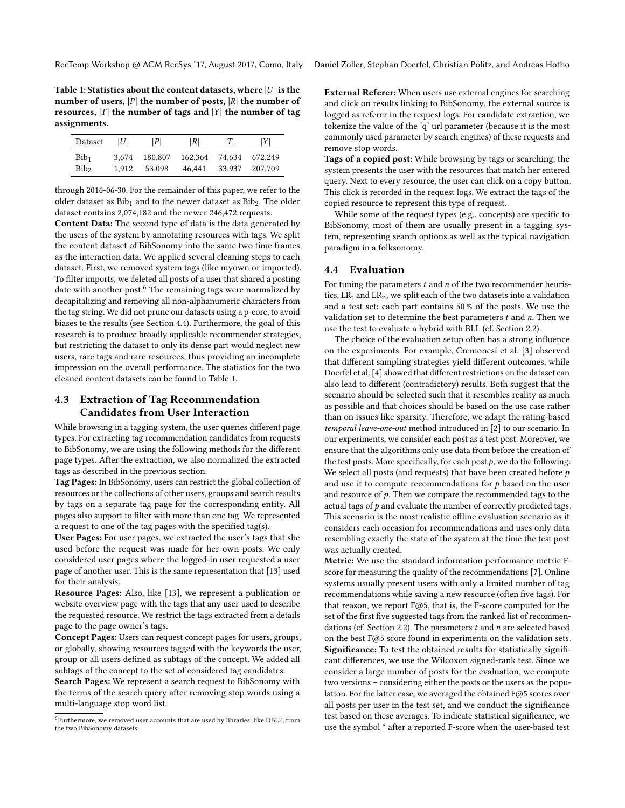<span id="page-3-3"></span>Table 1: Statistics about the content datasets, where  $|U|$  is the number of users,  $|P|$  the number of posts,  $|R|$  the number of resources,  $|T|$  the number of tags and  $|Y|$  the number of tag assignments.

| Dataset          | ШI    | P       | R       | T      | IYI     |
|------------------|-------|---------|---------|--------|---------|
| Bib <sub>1</sub> | 3.674 | 180,807 | 162.364 | 74.634 | 672.249 |
| Bib <sub>2</sub> | 1.912 | 53,098  | 46.441  | 33,937 | 207,709 |

through 2016-06-30. For the remainder of this paper, we refer to the older dataset as  $Bib_1$  and to the newer dataset as  $Bib_2$ . The older dataset contains 2,074,182 and the newer 246,472 requests.

Content Data: The second type of data is the data generated by the users of the system by annotating resources with tags. We split the content dataset of BibSonomy into the same two time frames as the interaction data. We applied several cleaning steps to each dataset. First, we removed system tags (like myown or imported). To filter imports, we deleted all posts of a user that shared a posting date with another post.<sup>[6](#page-3-1)</sup> The remaining tags were normalized by decapitalizing and removing all non-alphanumeric characters from the tag string. We did not prune our datasets using a p-core, to avoid biases to the results (see Section [4.4\)](#page-3-2). Furthermore, the goal of this research is to produce broadly applicable recommender strategies, but restricting the dataset to only its dense part would neglect new users, rare tags and rare resources, thus providing an incomplete impression on the overall performance. The statistics for the two cleaned content datasets can be found in Table [1.](#page-3-3)

# <span id="page-3-0"></span>4.3 Extraction of Tag Recommendation Candidates from User Interaction

While browsing in a tagging system, the user queries different page types. For extracting tag recommendation candidates from requests to BibSonomy, we are using the following methods for the different page types. After the extraction, we also normalized the extracted tags as described in the previous section.

Tag Pages: In BibSonomy, users can restrict the global collection of resources or the collections of other users, groups and search results by tags on a separate tag page for the corresponding entity. All pages also support to filter with more than one tag. We represented a request to one of the tag pages with the specified tag(s).

User Pages: For user pages, we extracted the user's tags that she used before the request was made for her own posts. We only considered user pages where the logged-in user requested a user page of another user. This is the same representation that [\[13\]](#page-6-14) used for their analysis.

Resource Pages: Also, like [\[13\]](#page-6-14), we represent a publication or website overview page with the tags that any user used to describe the requested resource. We restrict the tags extracted from a details page to the page owner's tags.

Concept Pages: Users can request concept pages for users, groups, or globally, showing resources tagged with the keywords the user, group or all users defined as subtags of the concept. We added all subtags of the concept to the set of considered tag candidates.

Search Pages: We represent a search request to BibSonomy with the terms of the search query after removing stop words using a multi-language stop word list.

External Referer: When users use external engines for searching and click on results linking to BibSonomy, the external source is logged as referer in the request logs. For candidate extraction, we tokenize the value of the 'q' url parameter (because it is the most commonly used parameter by search engines) of these requests and remove stop words.

Tags of a copied post: While browsing by tags or searching, the system presents the user with the resources that match her entered query. Next to every resource, the user can click on a copy button. This click is recorded in the request logs. We extract the tags of the copied resource to represent this type of request.

While some of the request types (e.g., concepts) are specific to BibSonomy, most of them are usually present in a tagging system, representing search options as well as the typical navigation paradigm in a folksonomy.

# <span id="page-3-2"></span>4.4 Evaluation

For tuning the parameters  $t$  and  $n$  of the two recommender heuristics,  $LR_t$  and  $LR_n$ , we split each of the two datasets into a validation and a test set: each part contains 50 % of the posts. We use the validation set to determine the best parameters  $t$  and  $n$ . Then we use the test to evaluate a hybrid with BLL (cf. Section [2.2\)](#page-1-3).

The choice of the evaluation setup often has a strong influence on the experiments. For example, Cremonesi et al. [\[3\]](#page-6-15) observed that different sampling strategies yield different outcomes, while Doerfel et al. [\[4\]](#page-6-16) showed that different restrictions on the dataset can also lead to different (contradictory) results. Both suggest that the scenario should be selected such that it resembles reality as much as possible and that choices should be based on the use case rather than on issues like sparsity. Therefore, we adapt the rating-based temporal leave-one-out method introduced in [\[2\]](#page-6-17) to our scenario. In our experiments, we consider each post as a test post. Moreover, we ensure that the algorithms only use data from before the creation of the test posts. More specifically, for each post  $p$ , we do the following: We select all posts (and requests) that have been created before  $p$ and use it to compute recommendations for  $p$  based on the user and resource of  $p$ . Then we compare the recommended tags to the actual tags of  $p$  and evaluate the number of correctly predicted tags. This scenario is the most realistic offline evaluation scenario as it considers each occasion for recommendations and uses only data resembling exactly the state of the system at the time the test post was actually created.

Metric: We use the standard information performance metric Fscore for measuring the quality of the recommendations [\[7\]](#page-6-18). Online systems usually present users with only a limited number of tag recommendations while saving a new resource (often five tags). For that reason, we report F@5, that is, the F-score computed for the set of the first five suggested tags from the ranked list of recommen-dations (cf. Section [2.2\)](#page-1-3). The parameters  $t$  and  $n$  are selected based on the best F@5 score found in experiments on the validation sets. Significance: To test the obtained results for statistically significant differences, we use the Wilcoxon signed-rank test. Since we consider a large number of posts for the evaluation, we compute two versions – considering either the posts or the users as the population. For the latter case, we averaged the obtained F@5 scores over all posts per user in the test set, and we conduct the significance test based on these averages. To indicate statistical significance, we use the symbol \* after a reported F-score when the user-based test

<span id="page-3-1"></span><sup>&</sup>lt;sup>6</sup>Furthermore, we removed user accounts that are used by libraries, like DBLP, from the two BibSonomy datasets.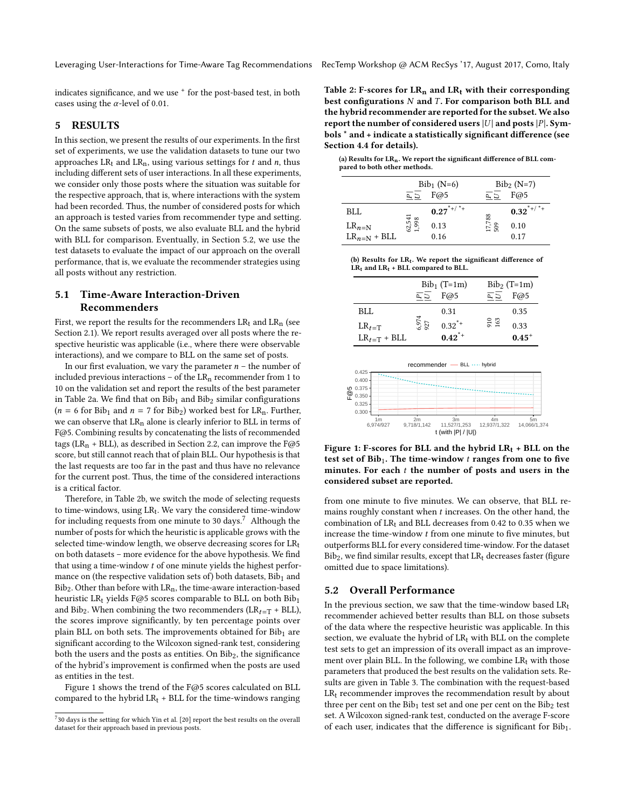indicates significance, and we use <sup>+</sup> for the post-based test, in both cases using the  $\alpha$ -level of 0.01.

#### <span id="page-4-0"></span>5 RESULTS

In this section, we present the results of our experiments. In the first set of experiments, we use the validation datasets to tune our two approaches  $LR_t$  and  $LR_n$ , using various settings for t and n, thus including different sets of user interactions. In all these experiments, we consider only those posts where the situation was suitable for the respective approach, that is, where interactions with the system had been recorded. Thus, the number of considered posts for which an approach is tested varies from recommender type and setting. On the same subsets of posts, we also evaluate BLL and the hybrid with BLL for comparison. Eventually, in Section [5.2,](#page-4-1) we use the test datasets to evaluate the impact of our approach on the overall performance, that is, we evaluate the recommender strategies using all posts without any restriction.

# 5.1 Time-Aware Interaction-Driven Recommenders

First, we report the results for the recommenders  $LR_t$  and  $LR_n$  (see Section [2.1\)](#page-1-4). We report results averaged over all posts where the respective heuristic was applicable (i.e., where there were observable interactions), and we compare to BLL on the same set of posts.

In our first evaluation, we vary the parameter  $n -$  the number of included previous interactions – of the  $LR_n$  recommender from 1 to 10 on the validation set and report the results of the best parameter in Table [2a.](#page-4-2) We find that on  $Bib_1$  and  $Bib_2$  similar configurations  $(n = 6$  for Bib<sub>1</sub> and  $n = 7$  for Bib<sub>2</sub>) worked best for LR<sub>n</sub>. Further, we can observe that  $LR<sub>n</sub>$  alone is clearly inferior to BLL in terms of F@5. Combining results by concatenating the lists of recommended tags (LR<sub>n</sub> + BLL), as described in Section [2.2,](#page-1-3) can improve the F@5 score, but still cannot reach that of plain BLL. Our hypothesis is that the last requests are too far in the past and thus have no relevance for the current post. Thus, the time of the considered interactions is a critical factor.

Therefore, in Table [2b,](#page-4-3) we switch the mode of selecting requests to time-windows, using  $LR_t$ . We vary the considered time-window for including requests from one minute to 30 days.<sup>[7](#page-4-4)</sup> Although the number of posts for which the heuristic is applicable grows with the selected time-window length, we observe decreasing scores for LRt on both datasets - more evidence for the above hypothesis. We find that using a time-window t of one minute yields the highest performance on (the respective validation sets of) both datasets,  $Bib<sub>1</sub>$  and  ${\rm Bib}_2.$  Other than before with  ${\rm LR}_n,$  the time-aware interaction-based heuristic LR<sub>t</sub> yields F@5 scores comparable to BLL on both  $Bib_1$ and Bib<sub>2</sub>. When combining the two recommenders ( $LR_{t=T}$  + BLL), the scores improve significantly, by ten percentage points over plain BLL on both sets. The improvements obtained for  $Bib<sub>1</sub>$  are significant according to the Wilcoxon signed-rank test, considering both the users and the posts as entities. On  $Bib_2$ , the significance of the hybrid's improvement is confirmed when the posts are used as entities in the test.

Figure [1](#page-4-5) shows the trend of the F@5 scores calculated on BLL compared to the hybrid  $LR_t$  + BLL for the time-windows ranging Table 2: F-scores for  $LR_n$  and  $LR_t$  with their corresponding best configurations  $N$  and  $T$ . For comparison both BLL and the hybrid recommender are reported for the subset.We also report the number of considered users  $|U|$  and posts  $|P|$ . Symbols \* and + indicate a statistically significant difference (see Section [4.4](#page-3-2) for details).

<span id="page-4-2"></span>(a) Results for  $LR_n$ . We report the significant difference of BLL compared to both other methods.

|                  | $Bib_1(N=6)$    |                         | $Bib_2(N=7)$   |                         |
|------------------|-----------------|-------------------------|----------------|-------------------------|
|                  |                 | F@5                     | $\overline{L}$ | F@5                     |
| BLL              |                 | $0.27$ <sup>*+/*+</sup> |                | $0.32$ <sup>*+/*+</sup> |
| $LR_{n=N}$       | 62,541<br>1,998 | 0.13                    | 17,788<br>509  | 0.10                    |
| $LR_{n=N}$ + BLL |                 | 0.16                    |                | 0.17                    |

<span id="page-4-3"></span>

| (b) Results for $LR_t$ . We report the significant difference of |  |
|------------------------------------------------------------------|--|
| $LR_t$ and $LR_t$ + BLL compared to BLL.                         |  |

|                  | $Bib_1$ (T=1m) |            | $Bib_2$ (T=1m) |            |
|------------------|----------------|------------|----------------|------------|
|                  | $\overline{E}$ | F@5        | ED             | F@5        |
| <b>BLL</b>       |                | 0.31       |                | 0.35       |
| $LR_{t=T}$       | 6,974<br>927   | $0.32^{*}$ | 910<br>163     | 0.33       |
| $LR_{t=T}$ + BLL |                | $0.42^{*}$ |                | $0.45^{+}$ |
|                  |                |            |                |            |

<span id="page-4-5"></span>

Figure 1: F-scores for BLL and the hybrid  $LR_t$  + BLL on the test set of  $Bib_1$ . The time-window  $t$  ranges from one to five minutes. For each  $t$  the number of posts and users in the considered subset are reported.

from one minute to five minutes. We can observe, that BLL remains roughly constant when  $t$  increases. On the other hand, the combination of  $LR_t$  and BLL decreases from 0.42 to 0.35 when we increase the time-window  $t$  from one minute to five minutes, but outperforms BLL for every considered time-window. For the dataset  $Bib_2$ , we find similar results, except that  $LR_t$  decreases faster (figure omitted due to space limitations).

# <span id="page-4-1"></span>5.2 Overall Performance

In the previous section, we saw that the time-window based  $LR<sub>t</sub>$ recommender achieved better results than BLL on those subsets of the data where the respective heuristic was applicable. In this section, we evaluate the hybrid of  $LR<sub>t</sub>$  with BLL on the complete test sets to get an impression of its overall impact as an improvement over plain BLL. In the following, we combine  $LR<sub>t</sub>$  with those parameters that produced the best results on the validation sets. Results are given in Table [3.](#page-5-2) The combination with the request-based  $LR<sub>t</sub>$  recommender improves the recommendation result by about three per cent on the  $Bib_1$  test set and one per cent on the  $Bib_2$  test set. A Wilcoxon signed-rank test, conducted on the average F-score of each user, indicates that the difference is significant for  $Bib_1$ .

<span id="page-4-4"></span> $730$  days is the setting for which Yin et al. [\[20\]](#page-6-11) report the best results on the overall dataset for their approach based in previous posts.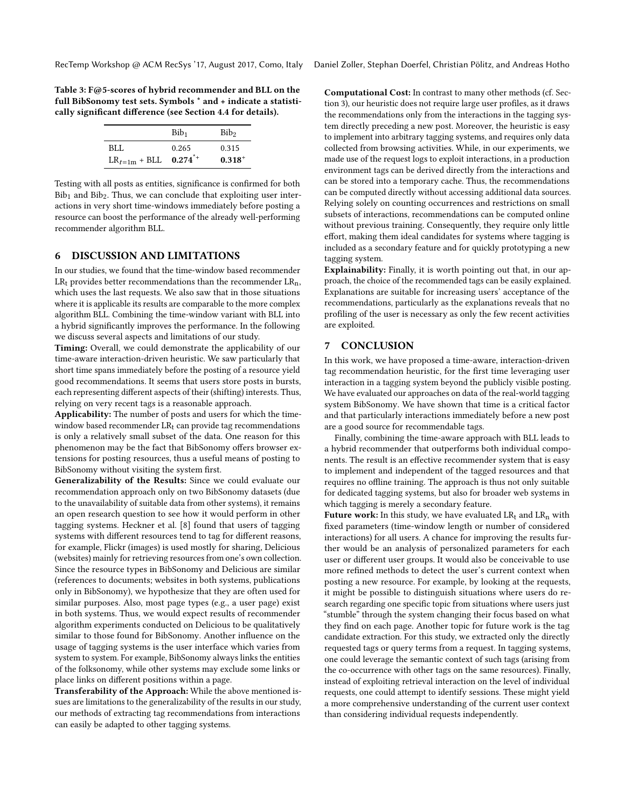<span id="page-5-2"></span>Table 3: F@5-scores of hybrid recommender and BLL on the full BibSonomy test sets. Symbols \* and + indicate a statisti-cally significant difference (see Section [4.4](#page-3-2) for details).

|                   | Bib <sub>1</sub>      | Bib <sub>2</sub> |
|-------------------|-----------------------|------------------|
| BLL               | 0.265                 | 0.315            |
| $LR_{t=1m}$ + BLL | $0.274$ <sup>*+</sup> | $0.318^{+}$      |

Testing with all posts as entities, significance is confirmed for both  $Bib<sub>1</sub>$  and  $Bib<sub>2</sub>$ . Thus, we can conclude that exploiting user interactions in very short time-windows immediately before posting a resource can boost the performance of the already well-performing recommender algorithm BLL.

#### <span id="page-5-1"></span>6 DISCUSSION AND LIMITATIONS

In our studies, we found that the time-window based recommender  $LR_t$  provides better recommendations than the recommender  $LR_n$ , which uses the last requests. We also saw that in those situations where it is applicable its results are comparable to the more complex algorithm BLL. Combining the time-window variant with BLL into a hybrid signicantly improves the performance. In the following we discuss several aspects and limitations of our study.

Timing: Overall, we could demonstrate the applicability of our time-aware interaction-driven heuristic. We saw particularly that short time spans immediately before the posting of a resource yield good recommendations. It seems that users store posts in bursts, each representing different aspects of their (shifting) interests. Thus, relying on very recent tags is a reasonable approach.

Applicability: The number of posts and users for which the timewindow based recommender  $LR<sub>t</sub>$  can provide tag recommendations is only a relatively small subset of the data. One reason for this phenomenon may be the fact that BibSonomy offers browser extensions for posting resources, thus a useful means of posting to BibSonomy without visiting the system first.

Generalizability of the Results: Since we could evaluate our recommendation approach only on two BibSonomy datasets (due to the unavailability of suitable data from other systems), it remains an open research question to see how it would perform in other tagging systems. Heckner et al. [\[8\]](#page-6-19) found that users of tagging systems with different resources tend to tag for different reasons, for example, Flickr (images) is used mostly for sharing, Delicious (websites) mainly for retrieving resources from one's own collection. Since the resource types in BibSonomy and Delicious are similar (references to documents; websites in both systems, publications only in BibSonomy), we hypothesize that they are often used for similar purposes. Also, most page types (e.g., a user page) exist in both systems. Thus, we would expect results of recommender algorithm experiments conducted on Delicious to be qualitatively similar to those found for BibSonomy. Another influence on the usage of tagging systems is the user interface which varies from system to system. For example, BibSonomy always links the entities of the folksonomy, while other systems may exclude some links or place links on different positions within a page.

Transferability of the Approach: While the above mentioned issues are limitations to the generalizability of the results in our study, our methods of extracting tag recommendations from interactions can easily be adapted to other tagging systems.

Computational Cost: In contrast to many other methods (cf. Sec-tion [3\)](#page-1-0), our heuristic does not require large user profiles, as it draws the recommendations only from the interactions in the tagging system directly preceding a new post. Moreover, the heuristic is easy to implement into arbitrary tagging systems, and requires only data collected from browsing activities. While, in our experiments, we made use of the request logs to exploit interactions, in a production environment tags can be derived directly from the interactions and can be stored into a temporary cache. Thus, the recommendations can be computed directly without accessing additional data sources. Relying solely on counting occurrences and restrictions on small subsets of interactions, recommendations can be computed online without previous training. Consequently, they require only little effort, making them ideal candidates for systems where tagging is included as a secondary feature and for quickly prototyping a new tagging system.

Explainability: Finally, it is worth pointing out that, in our approach, the choice of the recommended tags can be easily explained. Explanations are suitable for increasing users' acceptance of the recommendations, particularly as the explanations reveals that no profiling of the user is necessary as only the few recent activities are exploited.

#### <span id="page-5-0"></span>7 CONCLUSION

In this work, we have proposed a time-aware, interaction-driven tag recommendation heuristic, for the first time leveraging user interaction in a tagging system beyond the publicly visible posting. We have evaluated our approaches on data of the real-world tagging system BibSonomy. We have shown that time is a critical factor and that particularly interactions immediately before a new post are a good source for recommendable tags.

Finally, combining the time-aware approach with BLL leads to a hybrid recommender that outperforms both individual components. The result is an effective recommender system that is easy to implement and independent of the tagged resources and that requires no offline training. The approach is thus not only suitable for dedicated tagging systems, but also for broader web systems in which tagging is merely a secondary feature.

Future work: In this study, we have evaluated  $LR_t$  and  $LR_n$  with fixed parameters (time-window length or number of considered interactions) for all users. A chance for improving the results further would be an analysis of personalized parameters for each user or different user groups. It would also be conceivable to use more refined methods to detect the user's current context when posting a new resource. For example, by looking at the requests, it might be possible to distinguish situations where users do research regarding one specific topic from situations where users just "stumble" through the system changing their focus based on what they find on each page. Another topic for future work is the tag candidate extraction. For this study, we extracted only the directly requested tags or query terms from a request. In tagging systems, one could leverage the semantic context of such tags (arising from the co-occurrence with other tags on the same resources). Finally, instead of exploiting retrieval interaction on the level of individual requests, one could attempt to identify sessions. These might yield a more comprehensive understanding of the current user context than considering individual requests independently.